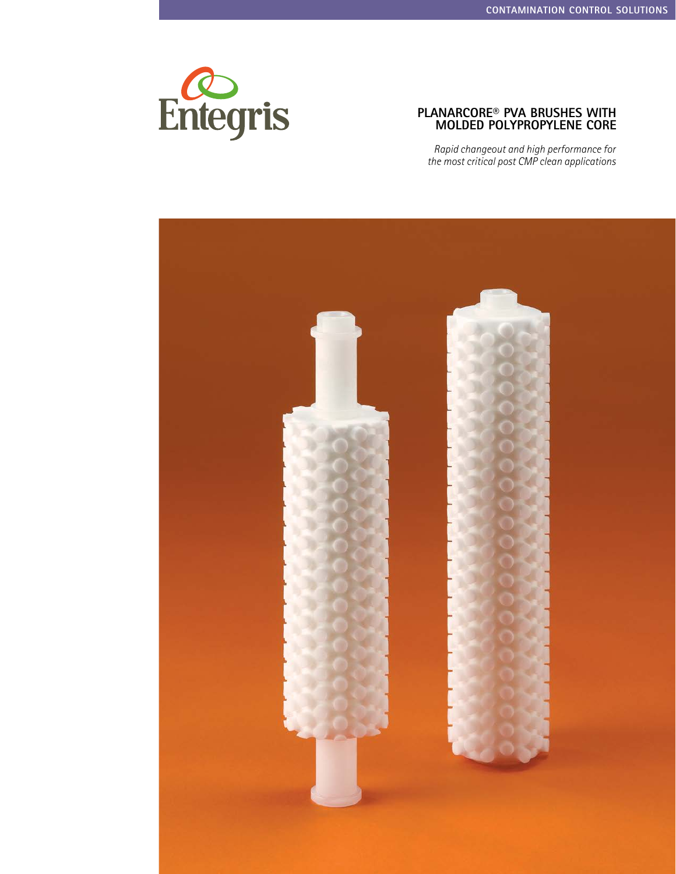

### **Planarcore® PVA Brushes with Molded Polypropylene Core**

*Rapid changeout and high performance for the most critical post CMP clean applications*

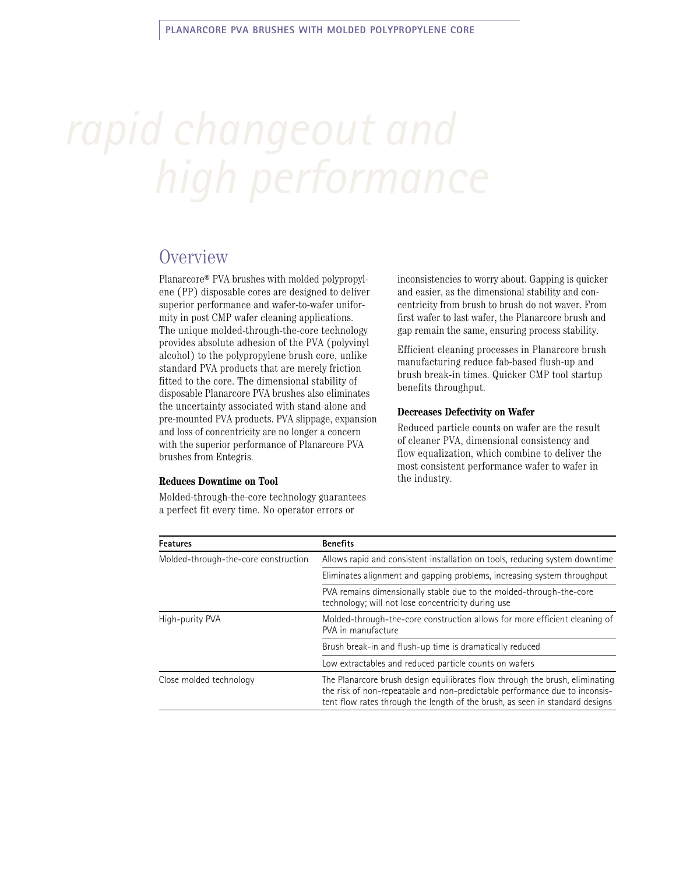### **Overview**

Planarcore® PVA brushes with molded polypropylene (PP) disposable cores are designed to deliver superior performance and wafer-to-wafer uniformity in post CMP wafer cleaning applications. The unique molded-through-the-core technology provides absolute adhesion of the PVA (polyvinyl alcohol) to the polypropylene brush core, unlike standard PVA products that are merely friction fitted to the core. The dimensional stability of disposable Planarcore PVA brushes also eliminates the uncertainty associated with stand-alone and pre-mounted PVA products. PVA slippage, expansion and loss of concentricity are no longer a concern with the superior performance of Planarcore PVA brushes from Entegris.

#### **Reduces Downtime on Tool**

Molded-through-the-core technology guarantees a perfect fit every time. No operator errors or

inconsistencies to worry about. Gapping is quicker and easier, as the dimensional stability and concentricity from brush to brush do not waver. From first wafer to last wafer, the Planarcore brush and gap remain the same, ensuring process stability.

Efficient cleaning processes in Planarcore brush manufacturing reduce fab-based flush-up and brush break-in times. Quicker CMP tool startup benefits throughput.

#### **Decreases Defectivity on Wafer**

Reduced particle counts on wafer are the result of cleaner PVA, dimensional consistency and flow equalization, which combine to deliver the most consistent performance wafer to wafer in the industry.

| <b>Features</b>                      | <b>Benefits</b>                                                                                                                                                                                                                             |  |
|--------------------------------------|---------------------------------------------------------------------------------------------------------------------------------------------------------------------------------------------------------------------------------------------|--|
| Molded-through-the-core construction | Allows rapid and consistent installation on tools, reducing system downtime                                                                                                                                                                 |  |
|                                      | Eliminates alignment and gapping problems, increasing system throughput                                                                                                                                                                     |  |
|                                      | PVA remains dimensionally stable due to the molded-through-the-core<br>technology; will not lose concentricity during use                                                                                                                   |  |
| High-purity PVA                      | Molded-through-the-core construction allows for more efficient cleaning of<br>PVA in manufacture                                                                                                                                            |  |
|                                      | Brush break-in and flush-up time is dramatically reduced                                                                                                                                                                                    |  |
|                                      | Low extractables and reduced particle counts on wafers                                                                                                                                                                                      |  |
| Close molded technology              | The Planarcore brush design equilibrates flow through the brush, eliminating<br>the risk of non-repeatable and non-predictable performance due to inconsis-<br>tent flow rates through the length of the brush, as seen in standard designs |  |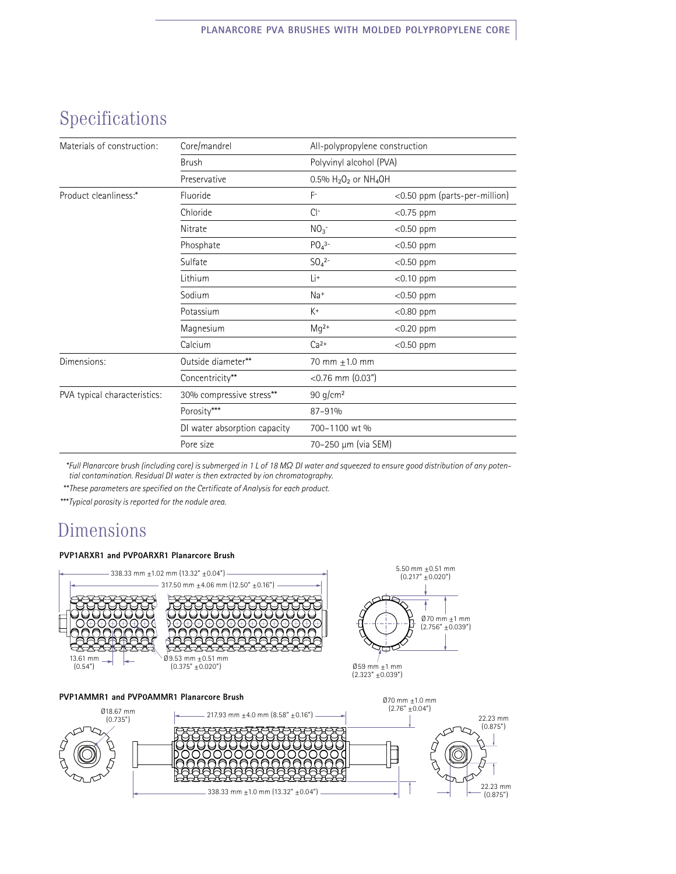# Specifications

| Materials of construction:   | Core/mandrel                 | All-polypropylene construction      |                               |
|------------------------------|------------------------------|-------------------------------------|-------------------------------|
|                              | <b>Brush</b>                 | Polyvinyl alcohol (PVA)             |                               |
|                              | Preservative                 | 0.5% $H_2O_2$ or NH <sub>4</sub> OH |                               |
| Product cleanliness:*        | Fluoride                     | $F^-$                               | <0.50 ppm (parts-per-million) |
|                              | Chloride                     | $Cl^-$                              | $<$ 0.75 ppm                  |
|                              | Nitrate                      | NO <sub>3</sub>                     | $<$ 0.50 ppm                  |
|                              | Phosphate                    | $PO4$ <sup>3-</sup>                 | $<$ 0.50 ppm                  |
|                              | Sulfate                      | $SO_4^{2-}$                         | $<$ 0.50 ppm                  |
|                              | Lithium                      | Li+                                 | $<$ 0.10 ppm                  |
|                              | Sodium                       | Na+                                 | $<$ 0.50 ppm                  |
|                              | Potassium                    | $K^+$                               | $<$ 0.80 ppm                  |
|                              | Magnesium                    | $Mq^{2+}$                           | $<$ 0.20 ppm                  |
|                              | Calcium                      | $Ca2+$                              | $<$ 0.50 ppm                  |
| Dimensions:                  | Outside diameter**           | 70 mm $\pm$ 1.0 mm                  |                               |
|                              | Concentricity**              | $<$ 0.76 mm (0.03")                 |                               |
| PVA typical characteristics: | 30% compressive stress**     | 90 g/cm <sup>2</sup>                |                               |
|                              | Porosity***                  | 87-91%                              |                               |
|                              | DI water absorption capacity | 700-1100 wt %                       |                               |
|                              | Pore size                    | 70-250 µm (via SEM)                 |                               |

*\* Full Planarcore brush (including core) is submerged in 1 L of 18 MΩ DI water and squeezed to ensure good distribution of any potential contamination. Residual DI water is then extracted by ion chromatography.*

*\*\* These parameters are specified on the Certificate of Analysis for each product.*

*\*\*\* Typical porosity is reported for the nodule area.*

### Dimensions

#### **PVP1ARXR1 and PVP0ARXR1 Planarcore Brush**



338.33 mm  $\pm$ 1.0 mm (13.32"  $\pm$ 0.04")